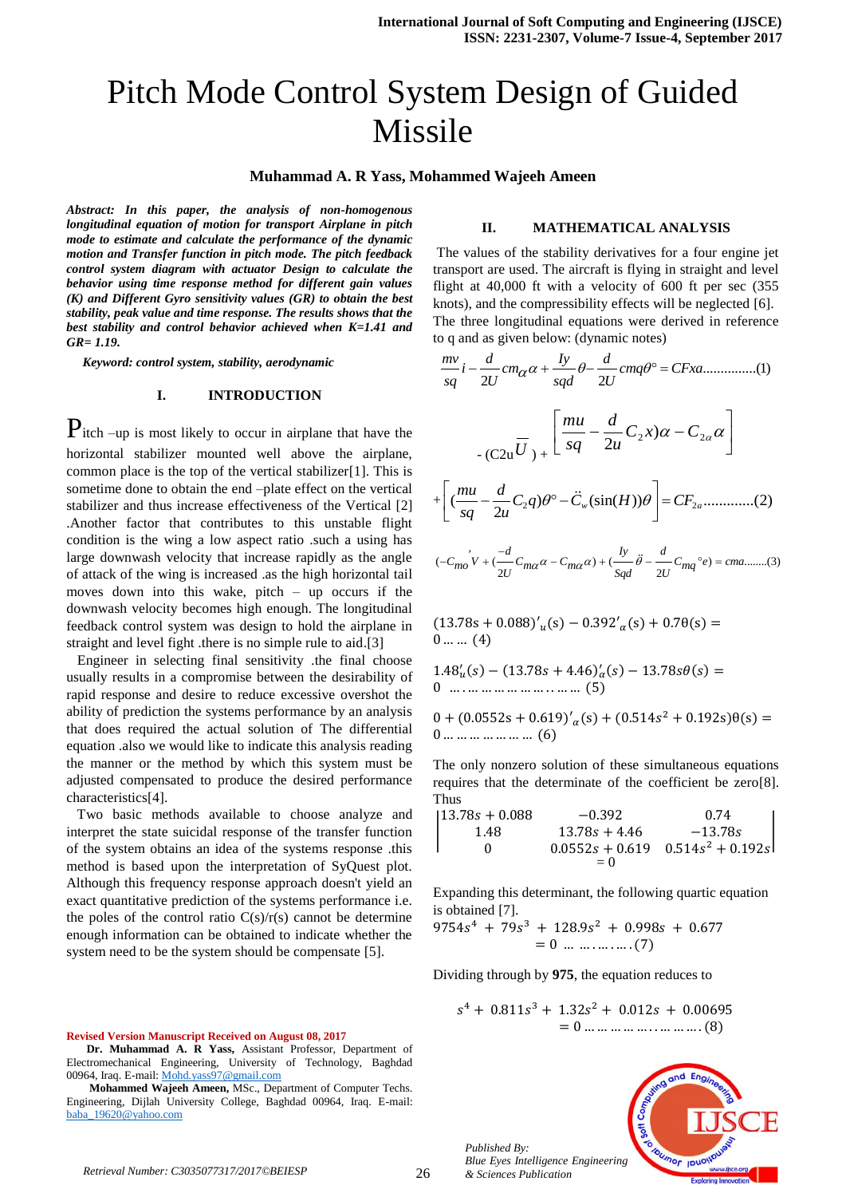#### **Muhammad A. R Yass, Mohammed Wajeeh Ameen**

*Abstract: In this paper, the analysis of non-homogenous longitudinal equation of motion for transport Airplane in pitch mode to estimate and calculate the performance of the dynamic motion and Transfer function in pitch mode. The pitch feedback control system diagram with actuator Design to calculate the behavior using time response method for different gain values (K) and Different Gyro sensitivity values (GR) to obtain the best stability, peak value and time response. The results shows that the best stability and control behavior achieved when K=1.41 and GR= 1.19.*

 *Keyword: control system, stability, aerodynamic*

#### **I. INTRODUCTION**

Pitch –up is most likely to occur in airplane that have the horizontal stabilizer mounted well above the airplane, common place is the top of the vertical stabilizer[1]. This is sometime done to obtain the end –plate effect on the vertical stabilizer and thus increase effectiveness of the Vertical [2] .Another factor that contributes to this unstable flight condition is the wing a low aspect ratio .such a using has large downwash velocity that increase rapidly as the angle of attack of the wing is increased .as the high horizontal tail moves down into this wake, pitch – up occurs if the downwash velocity becomes high enough. The longitudinal feedback control system was design to hold the airplane in straight and level fight .there is no simple rule to aid.[3]

 Engineer in selecting final sensitivity .the final choose usually results in a compromise between the desirability of rapid response and desire to reduce excessive overshot the ability of prediction the systems performance by an analysis that does required the actual solution of The differential equation .also we would like to indicate this analysis reading the manner or the method by which this system must be adjusted compensated to produce the desired performance characteristics[4].

 Two basic methods available to choose analyze and interpret the state suicidal response of the transfer function of the system obtains an idea of the systems response .this method is based upon the interpretation of SyQuest plot. Although this frequency response approach doesn't yield an exact quantitative prediction of the systems performance i.e. the poles of the control ratio  $C(s)/r(s)$  cannot be determine enough information can be obtained to indicate whether the system need to be the system should be compensate [5].

#### **Revised Version Manuscript Received on August 08, 2017**

#### **II. MATHEMATICAL ANALYSIS**

The values of the stability derivatives for a four engine jet transport are used. The aircraft is flying in straight and level flight at 40,000 ft with a velocity of 600 ft per sec (355 knots), and the compressibility effects will be neglected [6]. The three longitudinal equations were derived in reference

The three longitudinal equations were derived in reference to q and as given below: (dynamic notes)  
\n
$$
\frac{mv}{sq}i - \frac{d}{2U}cm_{\alpha}\alpha + \frac{Iy}{sq}\theta - \frac{d}{2U}cm_{\beta}\theta^{\circ} = CFxa
$$
\n...(1)  
\n
$$
-\frac{1}{(C2u\overline{U})} + \left[\frac{mu}{sq} - \frac{d}{2u}C_{2}x\right]\alpha - C_{2\alpha}\alpha
$$
\n
$$
+\left[\left(\frac{mu}{sq} - \frac{d}{2u}C_{2}q\right)\theta^{\circ} - \ddot{C}_{w}(\sin(H))\theta\right] = CF_{2a}
$$
\n...(2)  
\n
$$
(-C_{mo}v + \left(\frac{-d}{2U}C_{ma}\alpha - C_{ma}\alpha\right) + \left(\frac{ly}{sq}\overline{\theta} - \frac{d}{2U}C_{mq}e^{\theta}\right) = cma
$$
\n...(3)

$$
(13.78s + 0.088)'_u(s) - 0.392'_\alpha(s) + 0.7\theta(s) = 0 \dots (4)
$$

$$
1.48_u'(s) - (13.78s + 4.46)_a'(s) - 13.78s\theta(s) = 0
$$
 ....... ... .... ... .... ... (5)

$$
0 + (0.0552s + 0.619)'_{\alpha}(s) + (0.514s^2 + 0.192s)\theta(s) = 0 \dots \dots \dots \dots \dots \dots \dots \tag{6}
$$

The only nonzero solution of these simultaneous equations requires that the determinate of the coefficient be zero[8]. Thus

$$
\begin{vmatrix} 13.78s + 0.088 & -0.392 & 0.74 \\ 1.48 & 13.78s + 4.46 & -13.78s \\ 0 & 0.0552s + 0.619 & 0.514s^2 + 0.192s \end{vmatrix}
$$
  
= 0

Expanding this determinant, the following quartic equation is obtained [7].

 $9754s<sup>4</sup> + 79s<sup>3</sup> + 128.9s<sup>2</sup>$  $= 0$  ... ... . ... . ... (7)

Dividing through by **975**, the equation reduces to

$$
s4 + 0.811s3 + 1.32s2 + 0.012s + 0.00695
$$
  
= 0 ... ... ... ... ... (8)

*Published By: Blue Eyes Intelligence Engineering & Sciences Publication* 



**Dr. Muhammad A. R Yass,** Assistant Professor, Department of Electromechanical Engineering, University of Technology, Baghdad 00964, Iraq. E-mail[: Mohd.yass97@gmail.com](mailto:Mohd.yass97@gmail.com)

**Mohammed Wajeeh Ameen,** MSc., Department of Computer Techs. Engineering, Dijlah University College, Baghdad 00964, Iraq. E-mail: [baba\\_19620@yahoo.com](mailto:baba_19620@yahoo.com)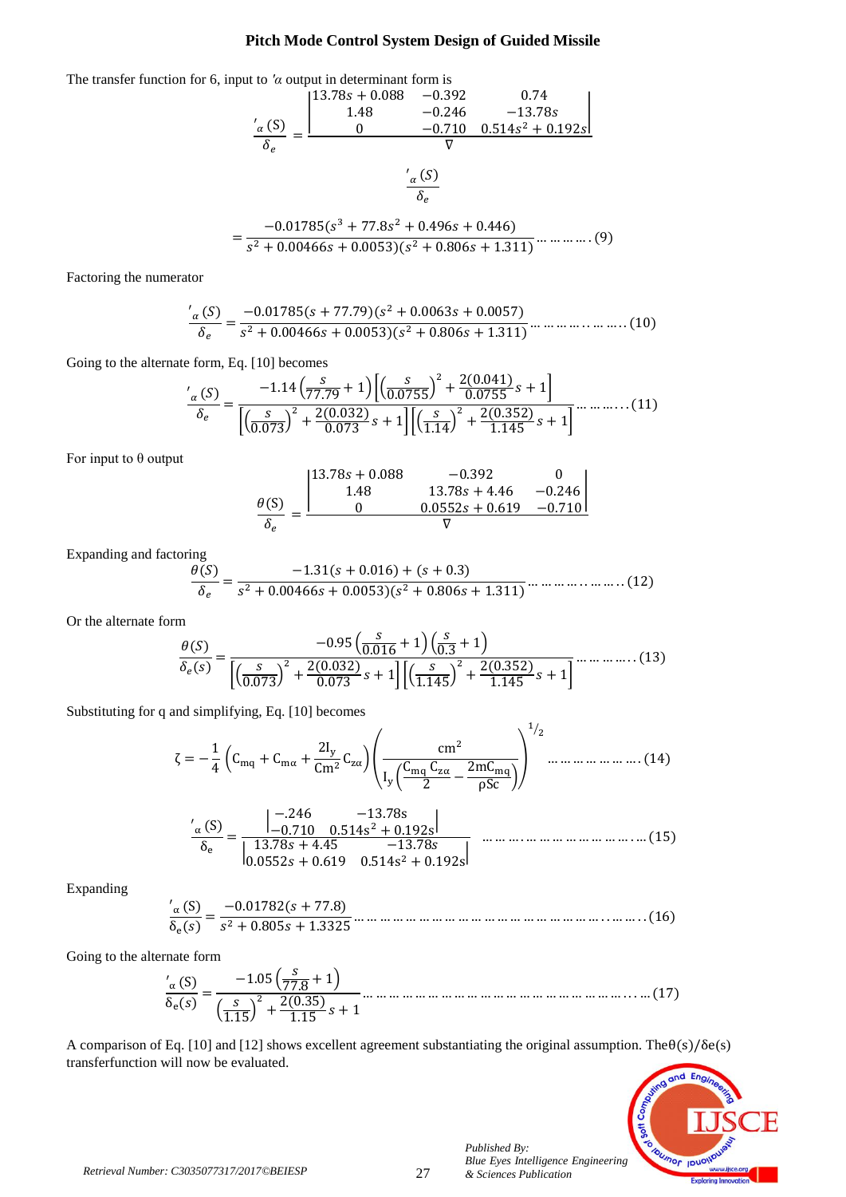The transfer function for 6, input to *'α* output in determinant form is



$$
=\frac{-0.01785(s^3+77.8s^2+0.496s+0.446)}{s^2+0.00466s+0.0053)(s^2+0.806s+1.311)}\dots\dots\dots\dots(9)
$$

Factoring the numerator

 

Going to the alternate form, Eq. [10] becomes

$$
\frac{'\alpha(S)}{\delta_e} = \frac{-1.14\left(\frac{S}{77.79} + 1\right)\left[\left(\frac{S}{0.0755}\right)^2 + \frac{2(0.041)}{0.0755}s + 1\right]}{\left[\left(\frac{S}{0.073}\right)^2 + \frac{2(0.032)}{0.073}s + 1\right]\left[\left(\frac{S}{1.14}\right)^2 + \frac{2(0.352)}{1.145}s + 1\right]} \dots \dots \dots (11)
$$

For input to θ output

$$
\frac{\theta(S)}{\delta_e} = \frac{\begin{vmatrix} 13.78s + 0.088 & -0.392 & 0 \\ 1.48 & 13.78s + 4.46 & -0.246 \\ 0 & 0.0552s + 0.619 & -0.710 \end{vmatrix}}{\nabla}
$$

Expanding and factoring

$$
\frac{\theta(S)}{\delta_e} = \frac{-1.31(s + 0.016) + (s + 0.3)}{s^2 + 0.00466s + 0.0053)(s^2 + 0.806s + 1.311)} \dots \dots \dots \dots \dots \dots \dots \dots \dots \tag{12}
$$

Or the alternate form

$$
\frac{\theta(S)}{\delta_e(s)} = \frac{-0.95\left(\frac{S}{0.016} + 1\right)\left(\frac{S}{0.3} + 1\right)}{\left[\left(\frac{S}{0.073}\right)^2 + \frac{2(0.032)}{0.073}s + 1\right]\left[\left(\frac{S}{1.145}\right)^2 + \frac{2(0.352)}{1.145}s + 1\right]} \dots \dots \dots \dots (13)
$$

Substituting for q and simplifying, Eq. [10] becomes

$$
\zeta = -\frac{1}{4} \left( C_{mq} + C_{m\alpha} + \frac{2I_y}{Cm^2} C_{z\alpha} \right) \left( \frac{cm^2}{I_y \left( \frac{C_{mq} C_{z\alpha}}{2} - \frac{2mC_{mq}}{\rho Sc} \right)} \right)^{1/2} \dots \dots \dots \dots \dots \dots \dots (14)
$$

 

Expanding

 

Going to the alternate form

 

A comparison of Eq. [10] and [12] shows excellent agreement substantiating the original assumption. The  $\theta(s)/\delta e(s)$ transferfunction will now be evaluated.



*Published By:*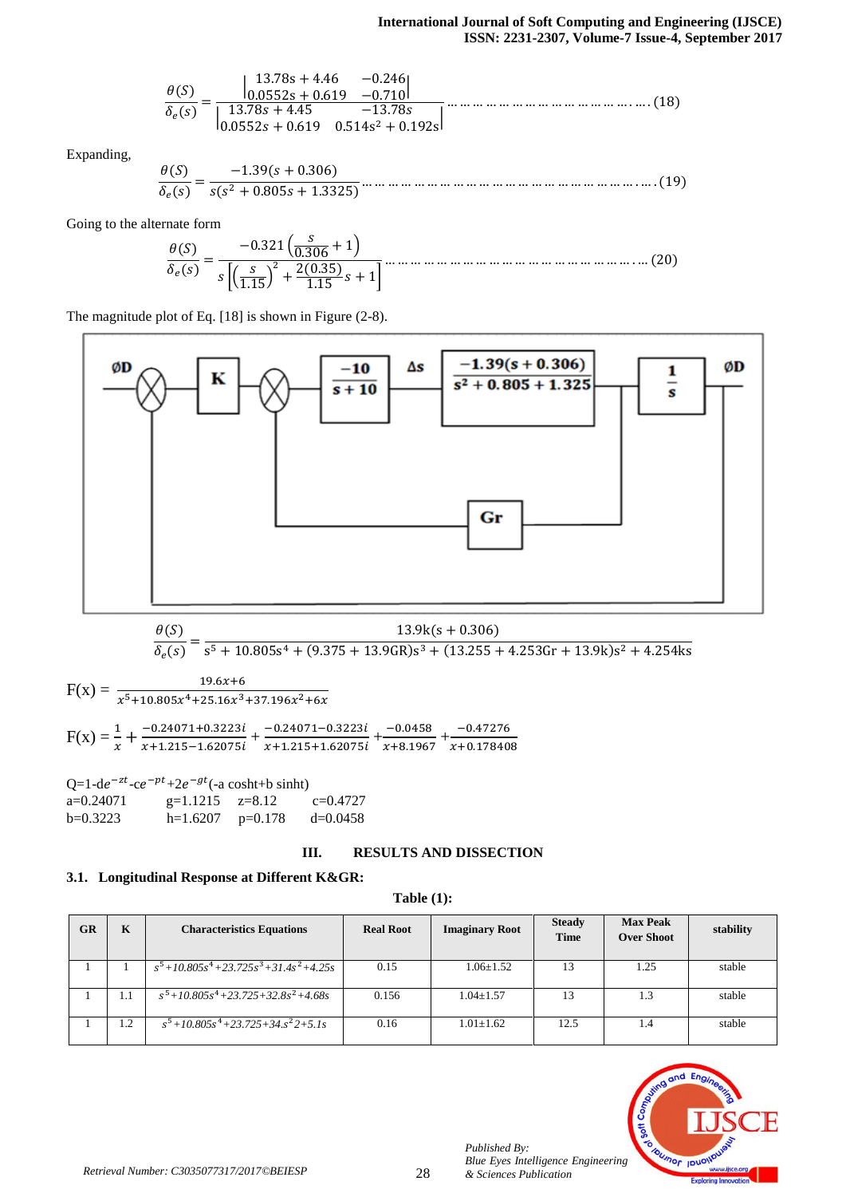Expanding,

 

Going to the alternate form

 

The magnitude plot of Eq. [18] is shown in Figure (2-8).



$$
\frac{\theta(S)}{\delta_e(s)} = \frac{13.9 \text{k(s} + 0.306)}{s^5 + 10.805 s^4 + (9.375 + 13.9 \text{GR}) s^3 + (13.255 + 4.253 \text{Gr} + 13.9 \text{k}) s^2 + 4.254 \text{k s}}
$$

 $F(x) = \frac{19.6x+6}{x^5+10.805x^4+25.16x^3+37.196x^2}$  $F(x) = \frac{1}{x} + \frac{-}{x}$  $\frac{-0.24071+0.3223i}{x+1.215-1.62075i} + \frac{-}{x}$  $\frac{-0.24071 - 0.3223i}{x + 1.215 + 1.62075i} + \frac{-}{x + 1}$  $\frac{-0.0458}{x+8.1967} + \frac{-}{x+}$  $\boldsymbol{\chi}$ 

 $Q=1-de^{-zt}-ce^{-pt}+2e^{-gt}(-a \cosh t+b \sinh t)$ a=0.24071  $g=1.1215$   $z=8.12$   $c=0.4727$ b=0.3223 h=1.6207 p=0.178 d=0.0458

# **III. RESULTS AND DISSECTION**

# **3.1. Longitudinal Response at Different K&GR:**

**Table (1):**

| <b>GR</b> | K   | <b>Characteristics Equations</b>                          | <b>Real Root</b> | <b>Imaginary Root</b> | <b>Steady</b><br><b>Time</b> | <b>Max Peak</b><br><b>Over Shoot</b> | stability |
|-----------|-----|-----------------------------------------------------------|------------------|-----------------------|------------------------------|--------------------------------------|-----------|
|           |     | $\frac{1}{s^5 + 10.805s^4 + 23.725s^3 + 31.4s^2 + 4.25s}$ | 0.15             | $1.06 + 1.52$         | 13                           | 1.25                                 | stable    |
|           | 1.1 | $s^5 + 10.805s^4 + 23.725 + 32.8s^2 + 4.68s$              | 0.156            | $1.04 + 1.57$         | 13                           | 1.3                                  | stable    |
|           | 1.2 | $s^5$ +10.805 $s^4$ +23.725+34. $s^2$ 2+5.1s              | 0.16             | $1.01 + 1.62$         | 12.5                         | 1.4                                  | stable    |



*Published By:*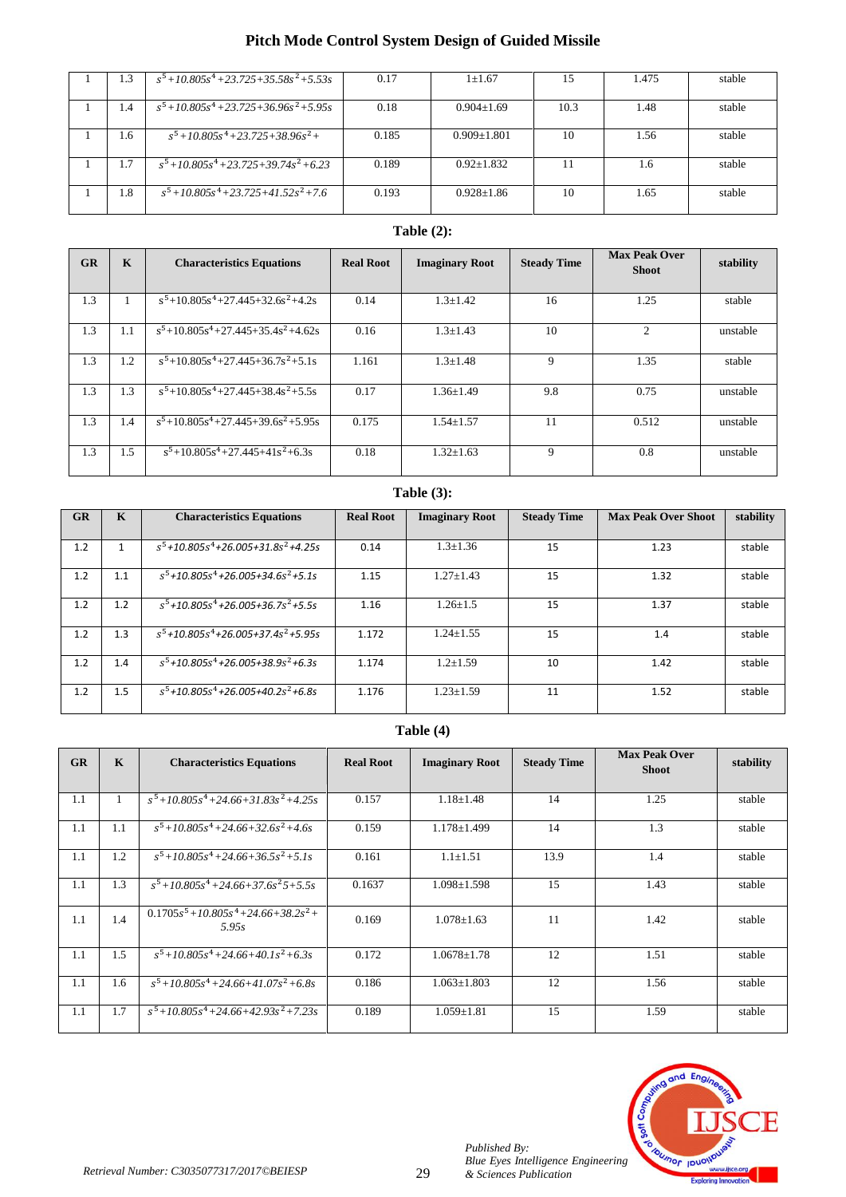| 1.3 | $s^5+10.805s^4+23.725+35.58s^2+5.53s$                         | 0.17  | $1 \pm 1.67$      | 15   | 1.475 | stable |
|-----|---------------------------------------------------------------|-------|-------------------|------|-------|--------|
| 1.4 | $s^5$ +10.805 $s^4$ +23.725+36.96 $s^2$ +5.95 $s$             | 0.18  | $0.904 \pm 1.69$  | 10.3 | 1.48  | stable |
| 1.6 | $s^5$ +10.805 $s^4$ +23.725+38.96 $s^2$ +                     | 0.185 | $0.909 \pm 1.801$ | 10   | 1.56  | stable |
| 1.7 | $s^5$ +10.805s <sup>4</sup> +23.725+39.74s <sup>2</sup> +6.23 | 0.189 | $0.92 + 1.832$    |      | 1.6   | stable |
| 1.8 | $s^5$ +10.805 $s^4$ +23.725+41.52 $s^2$ +7.6                  | 0.193 | $0.928 + 1.86$    | 10   | 1.65  | stable |

# **Table (2):**

| GR  | $\mathbf K$ | <b>Characteristics Equations</b>     | <b>Real Root</b> | <b>Imaginary Root</b> | <b>Steady Time</b> | <b>Max Peak Over</b><br><b>Shoot</b> | stability |
|-----|-------------|--------------------------------------|------------------|-----------------------|--------------------|--------------------------------------|-----------|
| 1.3 | п           | $s^5+10.805s^4+27.445+32.6s^2+4.2s$  | 0.14             | $1.3 \pm 1.42$        | 16                 | 1.25                                 | stable    |
| 1.3 | 1.1         | $s^5+10.805s^4+27.445+35.4s^2+4.62s$ | 0.16             | $1.3 \pm 1.43$        | 10                 | 2                                    | unstable  |
| 1.3 | 1.2         | $s^5+10.805s^4+27.445+36.7s^2+5.1s$  | 1.161            | $1.3 \pm 1.48$        | 9                  | 1.35                                 | stable    |
| 1.3 | 1.3         | $s^5+10.805s^4+27.445+38.4s^2+5.5s$  | 0.17             | $1.36 \pm 1.49$       | 9.8                | 0.75                                 | unstable  |
| 1.3 | 1.4         | $s^5+10.805s^4+27.445+39.6s^2+5.95s$ | 0.175            | $1.54 \pm 1.57$       | 11                 | 0.512                                | unstable  |
| 1.3 | 1.5         | $s^5+10.805s^4+27.445+41s^2+6.3s$    | 0.18             | $1.32 \pm 1.63$       | 9                  | 0.8                                  | unstable  |

# **Table (3):**

| GR  | K   | <b>Characteristics Equations</b>                             | <b>Real Root</b> | <b>Imaginary Root</b> | <b>Steady Time</b> | <b>Max Peak Over Shoot</b> | stability |
|-----|-----|--------------------------------------------------------------|------------------|-----------------------|--------------------|----------------------------|-----------|
|     |     |                                                              |                  |                       |                    |                            |           |
| 1.2 |     | $s^5$ +10.805 $s^4$ +26.005+31.8 $s^2$ +4.25s                | 0.14             | $1.3 \pm 1.36$        | 15                 | 1.23                       | stable    |
| 1.2 | 1.1 | $s^5$ +10.805 $s^4$ +26.005+34.6 $s^2$ +5.1s                 | 1.15             | $1.27 \pm 1.43$       | 15                 | 1.32                       | stable    |
| 1.2 | 1.2 | $s^5$ +10.805s <sup>4</sup> +26.005+36.7s <sup>2</sup> +5.5s | 1.16             | $1.26 + 1.5$          | 15                 | 1.37                       | stable    |
| 1.2 | 1.3 | $s^5$ +10.805 $s^4$ +26.005+37.4 $s^2$ +5.95s                | 1.172            | $1.24 + 1.55$         | 15                 | 1.4                        | stable    |
| 1.2 | 1.4 | $s^5$ +10.805 $s^4$ +26.005+38.9 $s^2$ +6.3s                 | 1.174            | $1.2 + 1.59$          | 10                 | 1.42                       | stable    |
| 1.2 | 1.5 | $s^5$ +10.805s <sup>4</sup> +26.005+40.2s <sup>2</sup> +6.8s | 1.176            | $1.23 \pm 1.59$       | 11                 | 1.52                       | stable    |

# **Table (4)**

| GR  | $\mathbf K$ | <b>Characteristics Equations</b>                             | <b>Real Root</b> | <b>Imaginary Root</b> | <b>Steady Time</b> | <b>Max Peak Over</b><br><b>Shoot</b> | stability |
|-----|-------------|--------------------------------------------------------------|------------------|-----------------------|--------------------|--------------------------------------|-----------|
|     |             |                                                              |                  |                       |                    |                                      |           |
| 1.1 |             | $s^5$ +10.805 $s^4$ +24.66+31.83 $s^2$ +4.25 $s$             | 0.157            | $1.18 \pm 1.48$       | 14                 | 1.25                                 | stable    |
| 1.1 | 1.1         | $s^5$ +10.805s <sup>4</sup> +24.66+32.6s <sup>2</sup> +4.6s  | 0.159            | $1.178 \pm 1.499$     | 14                 | 1.3                                  | stable    |
| 1.1 | 1.2         | $s^5$ +10.805 $s^4$ +24.66+36.5 $s^2$ +5.1s                  | 0.161            | $1.1 \pm 1.51$        | 13.9               | 1.4                                  | stable    |
| 1.1 | 1.3         | $s^5$ +10.805 $s^4$ +24.66+37.6 $s^2$ 5+5.5 $s$              | 0.1637           | $1.098 \pm 1.598$     | 15                 | 1.43                                 | stable    |
| 1.1 | 1.4         | $0.1705s^5 + 10.805s^4 + 24.66 + 38.2s^2 +$<br>5.95s         | 0.169            | $1.078 \pm 1.63$      | 11                 | 1.42                                 | stable    |
| 1.1 | 1.5         | $s^5$ +10.805s <sup>4</sup> +24.66+40.1s <sup>2</sup> +6.3s  | 0.172            | $1.0678 \pm 1.78$     | 12                 | 1.51                                 | stable    |
| 1.1 | 1.6         | $s^5$ +10.805s <sup>4</sup> +24.66+41.07s <sup>2</sup> +6.8s | 0.186            | $1.063 + 1.803$       | 12                 | 1.56                                 | stable    |
| 1.1 | 1.7         | $s^5$ +10.805 $s^4$ +24.66+42.93 $s^2$ +7.23 $s$             | 0.189            | $1.059 \pm 1.81$      | 15                 | 1.59                                 | stable    |



*Published By:*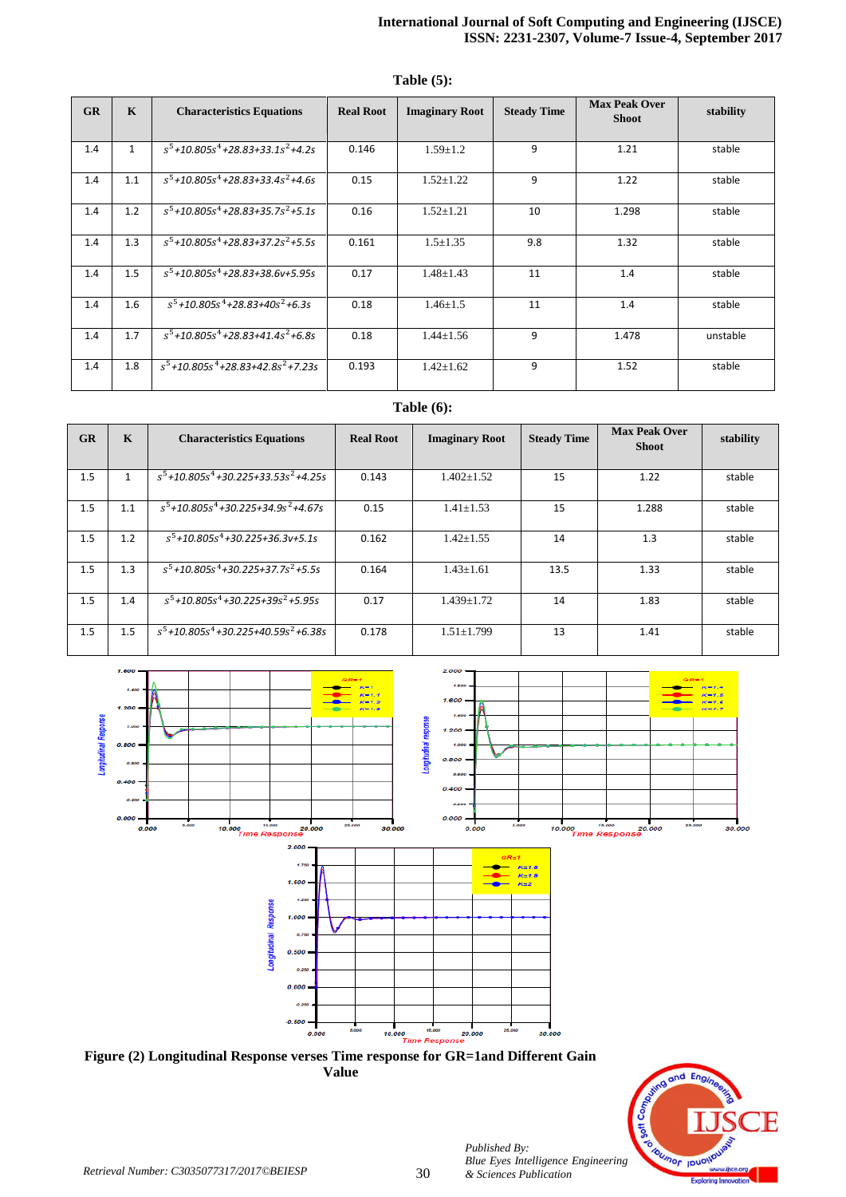### **International Journal of Soft Computing and Engineering (IJSCE) ISSN: 2231-2307, Volume-7 Issue-4, September 2017**

| GR  | $\mathbf K$  | <b>Characteristics Equations</b>                             | <b>Real Root</b> | <b>Imaginary Root</b> | <b>Steady Time</b> | <b>Max Peak Over</b><br><b>Shoot</b> | stability |
|-----|--------------|--------------------------------------------------------------|------------------|-----------------------|--------------------|--------------------------------------|-----------|
| 1.4 | $\mathbf{1}$ | $s^5$ +10.805s <sup>4</sup> +28.83+33.1s <sup>2</sup> +4.2s  | 0.146            | $1.59 \pm 1.2$        | 9                  | 1.21                                 | stable    |
| 1.4 | 1.1          | $s^5$ +10.805 $s^4$ +28.83+33.4 $s^2$ +4.6s                  | 0.15             | $1.52 \pm 1.22$       | 9                  | 1.22                                 | stable    |
| 1.4 | 1.2          | $s^5$ +10.805s <sup>4</sup> +28.83+35.7s <sup>2</sup> +5.1s  | 0.16             | $1.52 \pm 1.21$       | 10                 | 1.298                                | stable    |
| 1.4 | 1.3          | $s^5$ +10.805 $s^4$ +28.83+37.2 $s^2$ +5.5s                  | 0.161            | $1.5 \pm 1.35$        | 9.8                | 1.32                                 | stable    |
| 1.4 | 1.5          | $s^5$ +10.805s <sup>4</sup> +28.83+38.6v+5.95s               | 0.17             | $1.48 \pm 1.43$       | 11                 | 1.4                                  | stable    |
| 1.4 | 1.6          | $s^5$ +10.805 $s^4$ +28.83+40 $s^2$ +6.3s                    | 0.18             | $1.46 \pm 1.5$        | 11                 | 1.4                                  | stable    |
| 1.4 | 1.7          | $s^5$ +10.805 $s^4$ +28.83+41.4 $s^2$ +6.8s                  | 0.18             | $1.44 \pm 1.56$       | 9                  | 1.478                                | unstable  |
| 1.4 | 1.8          | $s^5$ +10.805s <sup>4</sup> +28.83+42.8s <sup>2</sup> +7.23s | 0.193            | $1.42 \pm 1.62$       | 9                  | 1.52                                 | stable    |

## **Table (5):**

# **Table (6):**

| GR  | $\mathbf K$ | <b>Characteristics Equations</b>               | <b>Real Root</b> | <b>Imaginary Root</b> | <b>Steady Time</b> | <b>Max Peak Over</b><br><b>Shoot</b> | stability |
|-----|-------------|------------------------------------------------|------------------|-----------------------|--------------------|--------------------------------------|-----------|
| 1.5 |             | $s^5$ +10.805 $s^4$ +30.225+33.53 $s^2$ +4.25s | 0.143            | $1.402 \pm 1.52$      | 15                 | 1.22                                 | stable    |
| 1.5 | 1.1         | $s^5$ +10.805 $s^4$ +30.225+34.9 $s^2$ +4.67s  | 0.15             | $1.41 \pm 1.53$       | 15                 | 1.288                                | stable    |
| 1.5 | 1.2         | $s^5 + 10.805s^4 + 30.225 + 36.3v + 5.1s$      | 0.162            | $1.42 \pm 1.55$       | 14                 | 1.3                                  | stable    |
| 1.5 | 1.3         | $s^5$ +10.805 $s^4$ +30.225+37.7 $s^2$ +5.5s   | 0.164            | $1.43 \pm 1.61$       | 13.5               | 1.33                                 | stable    |
| 1.5 | 1.4         | $s^5$ +10.805 $s^4$ +30.225+39 $s^2$ +5.95s    | 0.17             | $1.439 \pm 1.72$      | 14                 | 1.83                                 | stable    |
| 1.5 | 1.5         | $s^5$ +10.805 $s^4$ +30.225+40.59 $s^2$ +6.38s | 0.178            | $1.51 \pm 1.799$      | 13                 | 1.41                                 | stable    |







*Published By:*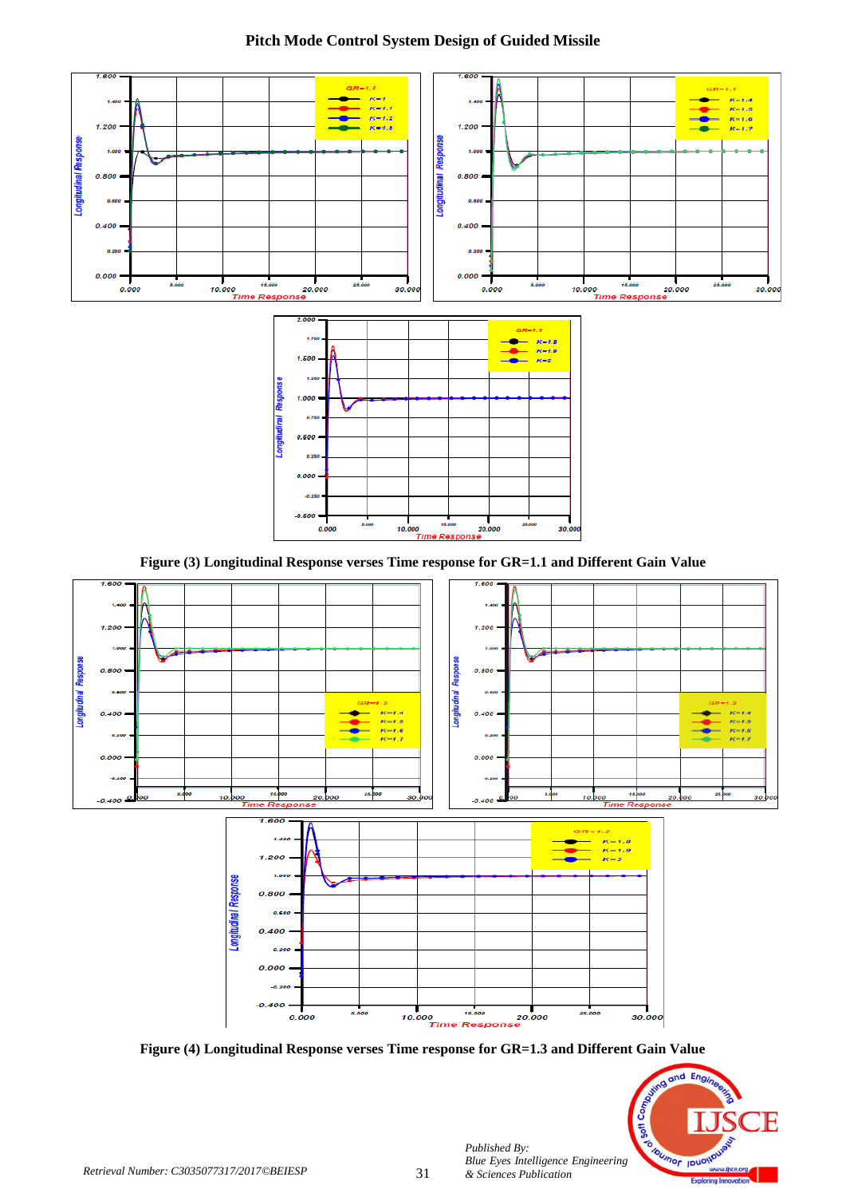

**Figure (3) Longitudinal Response verses Time response for GR=1.1 and Different Gain Value**



**Figure (4) Longitudinal Response verses Time response for GR=1.3 and Different Gain Value**



*Published By:*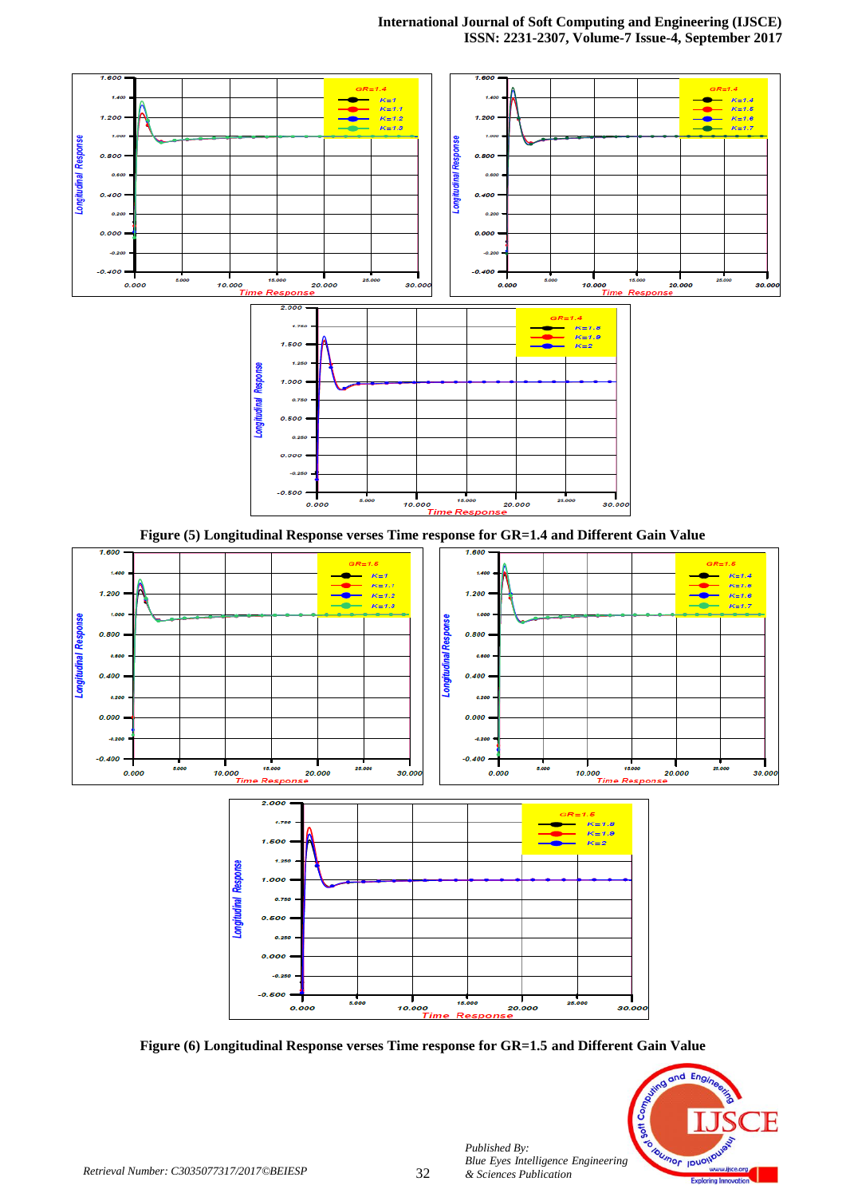

**Figure (5) Longitudinal Response verses Time response for GR=1.4 and Different Gain Value**



**Figure (6) Longitudinal Response verses Time response for GR=1.5 and Different Gain Value**



*Published By:*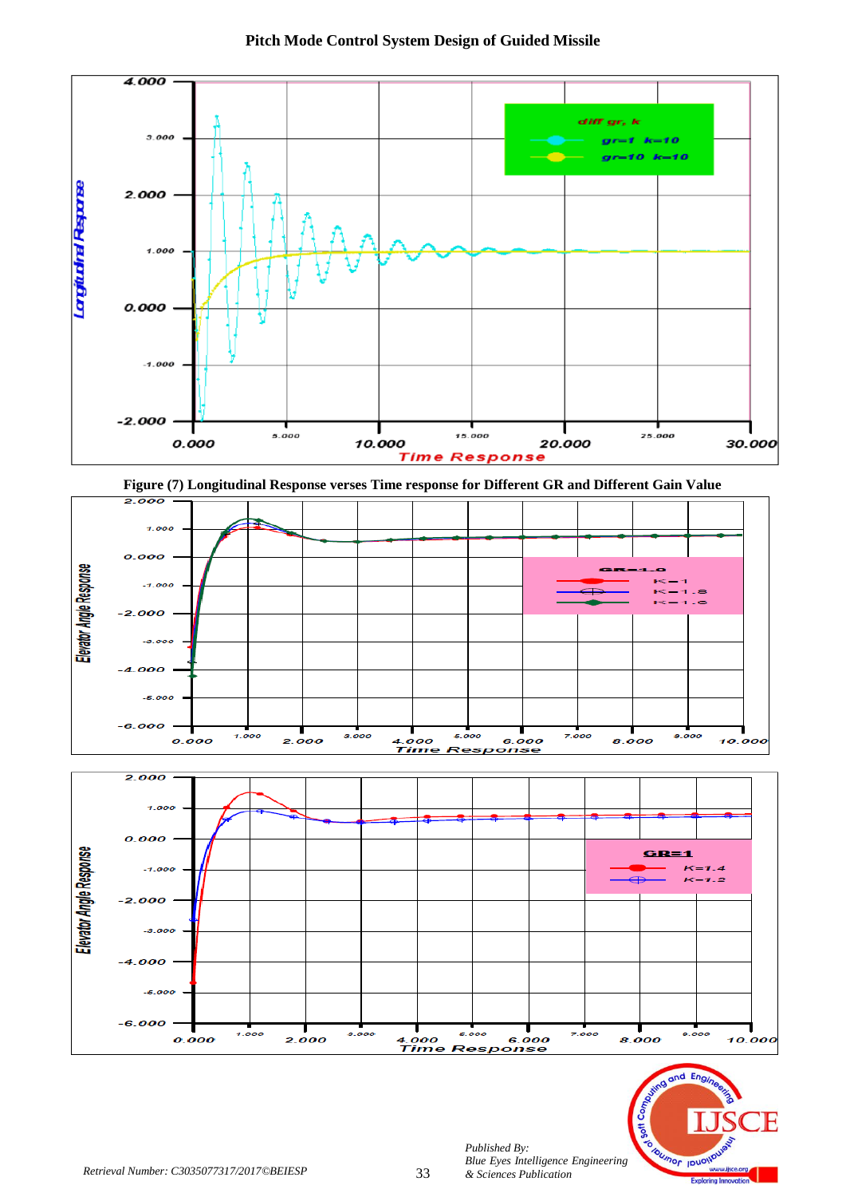

![](_page_7_Figure_1.jpeg)

![](_page_7_Figure_2.jpeg)

![](_page_7_Figure_3.jpeg)

![](_page_7_Picture_4.jpeg)

9.000

10.000

0.000

 $7.000$ 

Т

4.000

3.000

2.000

*Published By:*

5.000

**Time Response** 

*& Sciences Publication* 

6.000

 $7.000$ 

8.000